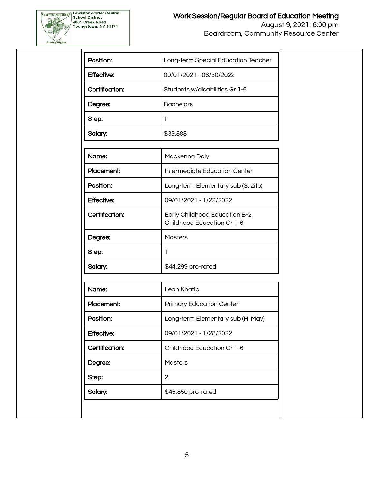

| Position:         | Long-term Special Education Teacher                          |  |  |  |
|-------------------|--------------------------------------------------------------|--|--|--|
| <b>Effective:</b> | 09/01/2021 - 06/30/2022                                      |  |  |  |
| Certification:    | Students w/disabilities Gr 1-6                               |  |  |  |
| Degree:           | <b>Bachelors</b>                                             |  |  |  |
| Step:             | 1                                                            |  |  |  |
| Salary:           | \$39,888                                                     |  |  |  |
|                   |                                                              |  |  |  |
| Name:             | Mackenna Daly                                                |  |  |  |
| Placement:        | <b>Intermediate Education Center</b>                         |  |  |  |
| Position:         | Long-term Elementary sub (S. Zito)                           |  |  |  |
| <b>Effective:</b> | 09/01/2021 - 1/22/2022                                       |  |  |  |
| Certification:    | Early Childhood Education B-2,<br>Childhood Education Gr 1-6 |  |  |  |
| Degree:           | <b>Masters</b>                                               |  |  |  |
| Step:             | 1                                                            |  |  |  |
| Salary:           | \$44,299 pro-rated                                           |  |  |  |
|                   |                                                              |  |  |  |
| Name:             | Leah Khatib                                                  |  |  |  |
| Placement:        | <b>Primary Education Center</b>                              |  |  |  |
| Position:         | Long-term Elementary sub (H. May)                            |  |  |  |
| <b>Effective:</b> | 09/01/2021 - 1/28/2022                                       |  |  |  |
| Certification:    | Childhood Education Gr 1-6                                   |  |  |  |
| Degree:           | <b>Masters</b>                                               |  |  |  |
| Step:             | 2                                                            |  |  |  |
| Salary:           | \$45,850 pro-rated                                           |  |  |  |